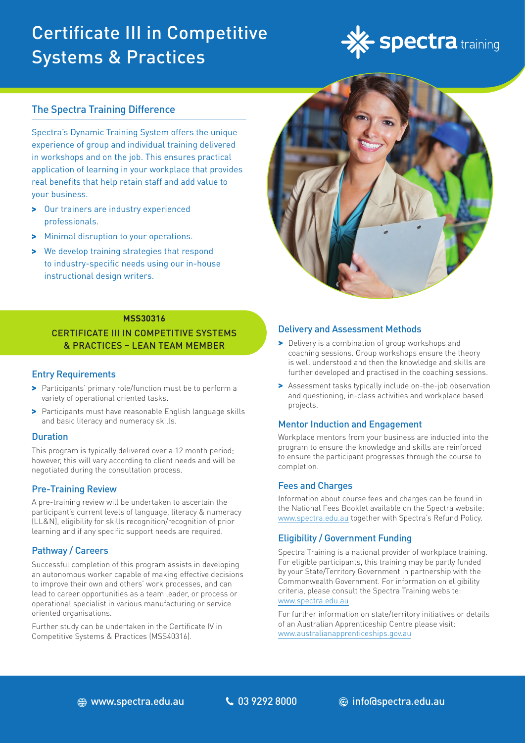# Certificate III in Competitive Systems & Practices



## The Spectra Training Difference

Spectra's Dynamic Training System offers the unique experience of group and individual training delivered in workshops and on the job. This ensures practical application of learning in your workplace that provides real benefits that help retain staff and add value to your business.

- > Our trainers are industry experienced professionals.
- > Minimal disruption to your operations.
- > We develop training strategies that respond to industry-specific needs using our in-house instructional design writers.



### **MSS30316**

## CERTIFICATE III IN COMPETITIVE SYSTEMS & PRACTICES – LEAN TEAM MEMBER

### Entry Requirements

- > Participants' primary role/function must be to perform a variety of operational oriented tasks.
- > Participants must have reasonable English language skills and basic literacy and numeracy skills.

### Duration

This program is typically delivered over a 12 month period; however, this will vary according to client needs and will be negotiated during the consultation process.

### Pre-Training Review

A pre-training review will be undertaken to ascertain the participant's current levels of language, literacy & numeracy (LL&N), eligibility for skills recognition/recognition of prior learning and if any specific support needs are required.

### Pathway / Careers

Successful completion of this program assists in developing an autonomous worker capable of making effective decisions to improve their own and others' work processes, and can lead to career opportunities as a team leader, or process or operational specialist in various manufacturing or service oriented organisations.

Further study can be undertaken in the Certificate IV in Competitive Systems & Practices (MSS40316).

### Delivery and Assessment Methods

- > Delivery is a combination of group workshops and coaching sessions. Group workshops ensure the theory is well understood and then the knowledge and skills are further developed and practised in the coaching sessions.
- > Assessment tasks typically include on-the-job observation and questioning, in-class activities and workplace based projects.

### Mentor Induction and Engagement

Workplace mentors from your business are inducted into the program to ensure the knowledge and skills are reinforced to ensure the participant progresses through the course to completion.

### Fees and Charges

Information about course fees and charges can be found in the National Fees Booklet available on the Spectra website: www.spectra.edu.au together with Spectra's Refund Policy.

### Eligibility / Government Funding

Spectra Training is a national provider of workplace training. For eligible participants, this training may be partly funded by your State/Territory Government in partnership with the Commonwealth Government. For information on eligibility criteria, please consult the Spectra Training website: [www.spectra.edu.au](https://www.spectra.edu.au/)

For further information on state/territory initiatives or details of an Australian Apprenticeship Centre please visit: [www.australianapprenticeships.gov.au](https://www.australianapprenticeships.gov.au/)